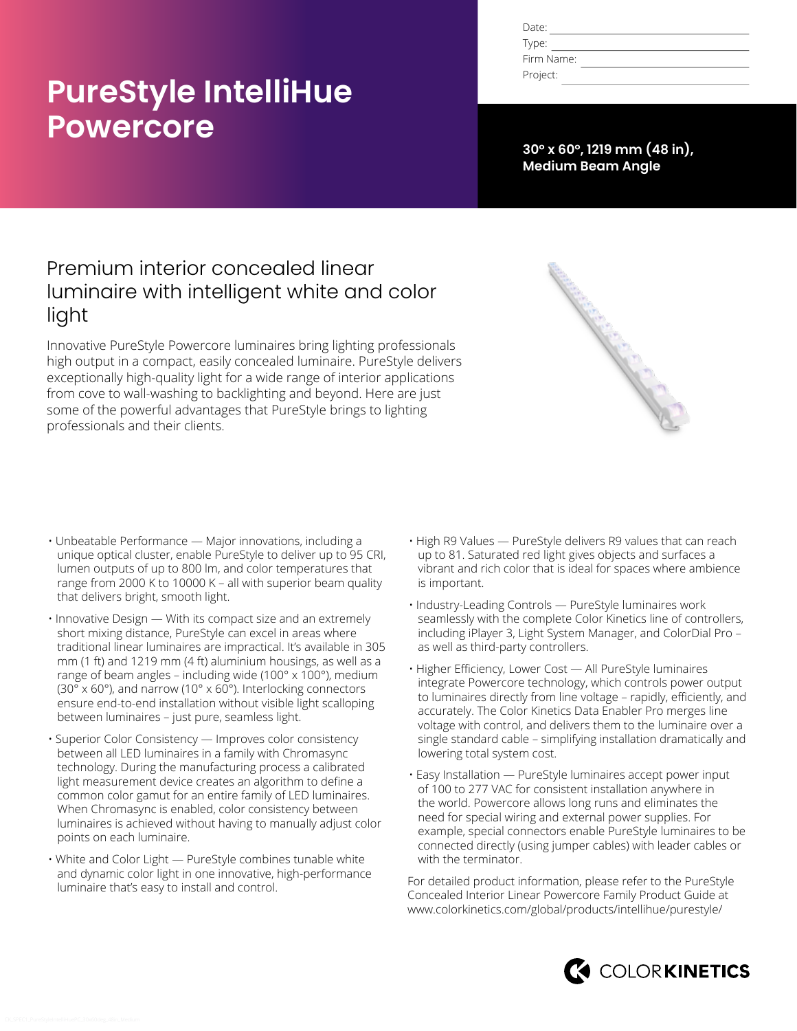# **PureStyle IntelliHue Powercore**

| Date:      |  |
|------------|--|
| Type:      |  |
| Firm Name: |  |
| Project:   |  |

**30° x 60°, 1219 mm (48 in), Medium Beam Angle**

# Premium interior concealed linear luminaire with intelligent white and color light

Innovative PureStyle Powercore luminaires bring lighting professionals high output in a compact, easily concealed luminaire. PureStyle delivers exceptionally high-quality light for a wide range of interior applications from cove to wall-washing to backlighting and beyond. Here are just some of the powerful advantages that PureStyle brings to lighting professionals and their clients.



- Unbeatable Performance Major innovations, including a unique optical cluster, enable PureStyle to deliver up to 95 CRI, lumen outputs of up to 800 lm, and color temperatures that range from 2000 K to 10000 K – all with superior beam quality that delivers bright, smooth light.
- Innovative Design With its compact size and an extremely short mixing distance, PureStyle can excel in areas where traditional linear luminaires are impractical. It's available in 305 mm (1 ft) and 1219 mm (4 ft) aluminium housings, as well as a range of beam angles – including wide (100° x 100°), medium (30° x 60°), and narrow (10° x 60°). Interlocking connectors ensure end-to-end installation without visible light scalloping between luminaires – just pure, seamless light.
- Superior Color Consistency Improves color consistency between all LED luminaires in a family with Chromasync technology. During the manufacturing process a calibrated light measurement device creates an algorithm to define a common color gamut for an entire family of LED luminaires. When Chromasync is enabled, color consistency between luminaires is achieved without having to manually adjust color points on each luminaire.
- White and Color Light PureStyle combines tunable white and dynamic color light in one innovative, high-performance luminaire that's easy to install and control.
- High R9 Values PureStyle delivers R9 values that can reach up to 81. Saturated red light gives objects and surfaces a vibrant and rich color that is ideal for spaces where ambience is important.
- Industry-Leading Controls PureStyle luminaires work seamlessly with the complete Color Kinetics line of controllers, including iPlayer 3, Light System Manager, and ColorDial Pro – as well as third-party controllers.
- Higher Efficiency, Lower Cost All PureStyle luminaires integrate Powercore technology, which controls power output to luminaires directly from line voltage – rapidly, efficiently, and accurately. The Color Kinetics Data Enabler Pro merges line voltage with control, and delivers them to the luminaire over a single standard cable – simplifying installation dramatically and lowering total system cost.
- Easy Installation PureStyle luminaires accept power input of 100 to 277 VAC for consistent installation anywhere in the world. Powercore allows long runs and eliminates the need for special wiring and external power supplies. For example, special connectors enable PureStyle luminaires to be connected directly (using jumper cables) with leader cables or with the terminator.

For detailed product information, please refer to the PureStyle Concealed Interior Linear Powercore Family Product Guide at [www.colorkinetics.com/global/products/intellihue/purestyle/](http://www.colorkinetics.com/global/products/intellihue/purestyle/)

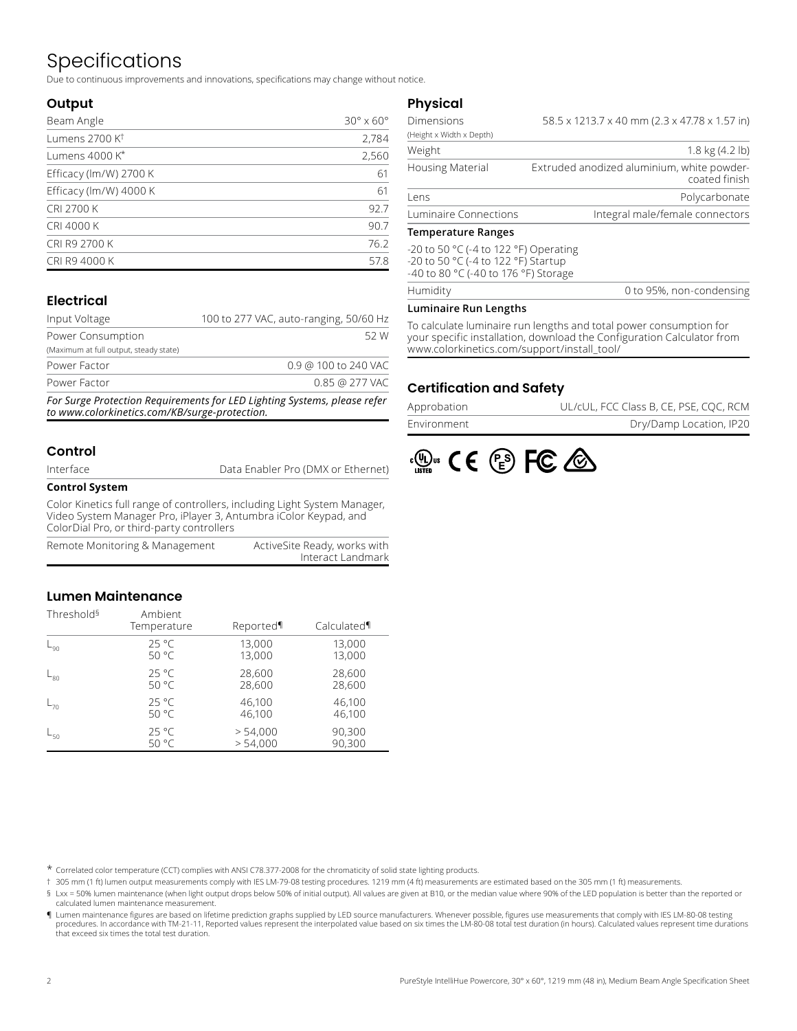# Specifications

Due to continuous improvements and innovations, specifications may change without notice.

### **Output**

| Beam Angle                 | $30^\circ \times 60^\circ$ |
|----------------------------|----------------------------|
| Lumens 2700 K <sup>t</sup> | 2,784                      |
| Lumens 4000 K*             | 2,560                      |
| Efficacy (lm/W) 2700 K     | 61                         |
| Efficacy (lm/W) 4000 K     | 61                         |
| <b>CRI 2700 K</b>          | 92.7                       |
| CRI 4000 K                 | 90.7                       |
| CRI R9 2700 K              | 76.2                       |
| CRI R9 4000 K              | 57.8                       |

### **Electrical**

| Input Voltage                          | 100 to 277 VAC, auto-ranging, 50/60 Hz |                      |      |
|----------------------------------------|----------------------------------------|----------------------|------|
| Power Consumption                      |                                        |                      | 52 W |
| (Maximum at full output, steady state) |                                        |                      |      |
| Power Factor                           |                                        | 0.9 @ 100 to 240 VAC |      |
| Power Factor                           |                                        | 0.85 @ 277 VAC       |      |
|                                        |                                        |                      |      |

*For Surge Protection Requirements for LED Lighting Systems, please refer to www.colorkinetics.com/KB/surge-protection.*

### **Control**

Data Enabler Pro (DMX or Ethernet)

#### **Control System**

Color Kinetics full range of controllers, including Light System Manager, Video System Manager Pro, iPlayer 3, Antumbra iColor Keypad, and ColorDial Pro, or third-party controllers

| Remote Monitoring & Management | ActiveSite Ready, works with |
|--------------------------------|------------------------------|
|                                | Interact Landmark            |

### **Lumen Maintenance**

| Threshold <sup>§</sup> | Ambient<br>Temperature | Reported | Calculated¶ |
|------------------------|------------------------|----------|-------------|
| L <sub>90</sub>        | $25^{\circ}$ C         | 13,000   | 13,000      |
|                        | 50 °C                  | 13,000   | 13,000      |
| $-80$                  | $25^{\circ}$ C         | 28,600   | 28,600      |
|                        | 50 °C                  | 28,600   | 28,600      |
| $-70$                  | $25^{\circ}$ C         | 46,100   | 46,100      |
|                        | 50 °C                  | 46,100   | 46,100      |
| $-50$                  | $25^{\circ}$ C         | > 54,000 | 90,300      |
|                        | 50 °C                  | > 54,000 | 90,300      |

### **Physical**

| Temperature Ranges       |                                                             |  |  |  |  |  |  |
|--------------------------|-------------------------------------------------------------|--|--|--|--|--|--|
| Luminaire Connections    | Integral male/female connectors                             |  |  |  |  |  |  |
| Lens                     | Polycarbonate                                               |  |  |  |  |  |  |
| <b>Housing Material</b>  | Extruded anodized aluminium, white powder-<br>coated finish |  |  |  |  |  |  |
| Weight                   | $1.8 \text{ kg} (4.2 \text{ lb})$                           |  |  |  |  |  |  |
| (Height x Width x Depth) |                                                             |  |  |  |  |  |  |
| <b>Dimensions</b>        | 58.5 x 1213.7 x 40 mm (2.3 x 47.78 x 1.57 in)               |  |  |  |  |  |  |

#### **Temperature Ranges**

**Humidity** 

-20 to 50 °C (-4 to 122 °F) Operating -20 to 50 °C (-4 to 122 °F) Startup -40 to 80 °C (-40 to 176 °F) Storage

| 0 to 95%, non-condensing |
|--------------------------|
|--------------------------|

#### **Luminaire Run Lengths**

To calculate luminaire run lengths and total power consumption for your specific installation, download the Configuration Calculator from www.colorkinetics.com/support/install\_tool/

### **Certification and Safety**

| Approbation | UL/cUL, FCC Class B, CE, PSE, CQC, RCM |
|-------------|----------------------------------------|
| Environment | Dry/Damp Location, IP20                |



\* Correlated color temperature (CCT) complies with ANSI C78.377-2008 for the chromaticity of solid state lighting products.

† 305 mm (1 ft) lumen output measurements comply with IES LM-79-08 testing procedures. 1219 mm (4 ft) measurements are estimated based on the 305 mm (1 ft) measurements.

§ Lxx = 50% lumen maintenance (when light output drops below 50% of initial output). All values are given at B10, or the median value where 90% of the LED population is better than the reported or calculated lumen maintenance measurement.

¶ Lumen maintenance figures are based on lifetime prediction graphs supplied by LED source manufacturers. Whenever possible, figures use measurements that comply with IES LM-80-08 testing procedures. In accordance with TM-21-11, Reported values represent the interpolated value based on six times the LM-80-08 total test duration (in hours). Calculated values represent time durations that exceed six times the total test duration.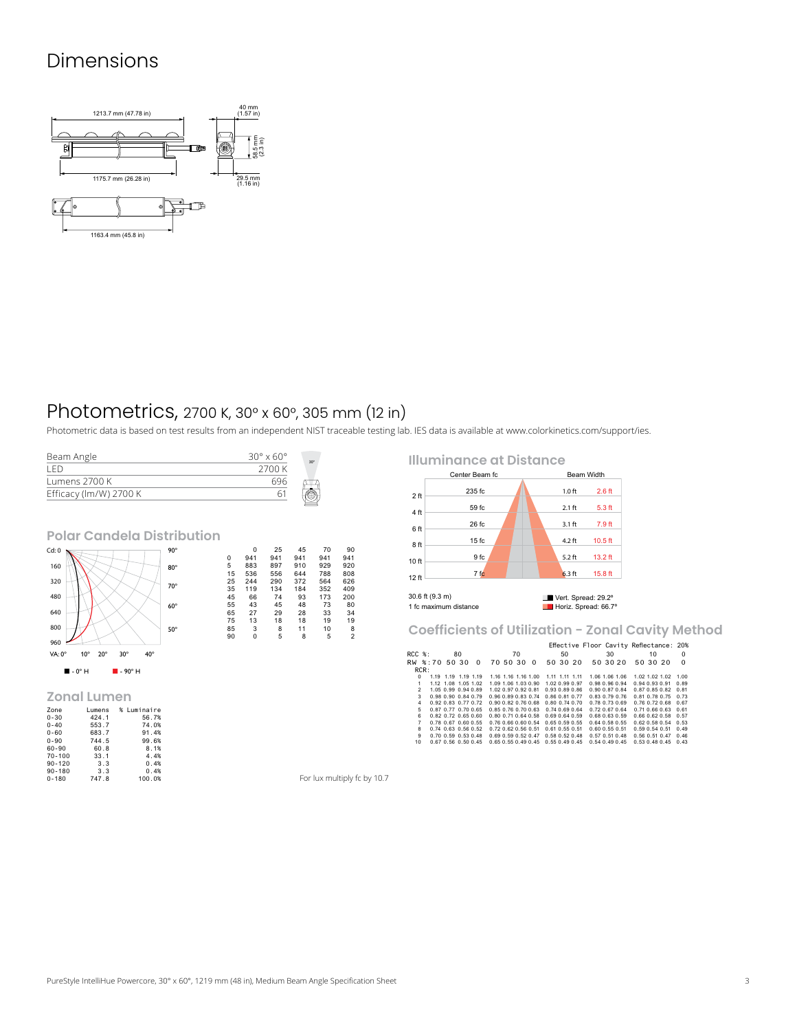# Dimensions



# Photometrics, 2700 K, 30° x 60°, 305 mm (12 in)

Photometric data is based on test results from an independent NIST traceable testing lab. IES data is available at [www.colorkinetics.com/support/ies.](http://www.colorkinetics.com/support/ies)

| Beam Angle             | $30^{\circ} \times 60^{\circ}$ | $30^\circ$ |
|------------------------|--------------------------------|------------|
| I ED                   | 2700 K                         |            |
| Lumens 2700 K          | 696                            |            |
| Efficacy (lm/W) 2700 K |                                |            |

**Polar Candela Distribution**



#### **Zonal Lumen**

| Zone       | Lumens | % Luminaire |
|------------|--------|-------------|
| $0 - 30$   | 424.1  | 56.7%       |
| $0 - 40$   | 553.7  | 74.0%       |
| $0 - 60$   | 683.7  | 91.4%       |
| $0 - 90$   | 744.5  | 99.6%       |
| 60-90      | 60.8   | 8.1%        |
| $70 - 100$ | 33.1   | 4.4%        |
| $90 - 120$ | 3.3    | 0.4%        |
| $90 - 180$ | 3.3    | 0.4%        |
| $0 - 180$  | 747.8  | 100.0%      |

0 25 45 70 928 920<br>5 883 897 910 929 920<br>5 5 883 897 910 929 920<br>25 244 290 372 564 626<br>35 119 134 184 352 409<br>45 66 74 93 173 200<br>65 27 29 28 33 34<br>65 27 29 28 33 34<br>75 13 18 18 19 19  $\begin{array}{cccc} 0 & 25 & 45 & 70 & 90 \\ 0 & 941 & 941 & 941 & 941 & 943 \\ 5 & 883 & 897 & 910 & 929 & 920 \\ 25 & 244 & 290 & 372 & 564 & 526 \\ 35 & 119 & 134 & 184 & 352 & 409 \\ 45 & 66 & 74 & 93 & 173 & 200 \\ 55 & 43 & 45 & 78 & 80 & 73 \\ 57 & 13 & 18 & 18 & 19 & 19 \\ 65 & 3$  **Illuminance at Distance**



**Coefficients of Utilization - Zonal Cavity Method**

|                |      |                             |    |                     |                             |    |                                    |                      |                | Effective Floor Cavity Reflectance: 20% |    |                      |          |                             |          |
|----------------|------|-----------------------------|----|---------------------|-----------------------------|----|------------------------------------|----------------------|----------------|-----------------------------------------|----|----------------------|----------|-----------------------------|----------|
| $RCC$ $%$ :    |      |                             | 80 |                     |                             | 70 |                                    |                      | 50             |                                         | 30 |                      | 10       |                             | $\Omega$ |
| RW %:70 50 30  |      |                             |    | $\Omega$            | 70 50 30                    |    | $\Omega$                           |                      | 50 30 20       |                                         |    | 50 30 20             | 50 30 20 |                             | $\Omega$ |
|                | RCR: |                             |    |                     |                             |    |                                    |                      |                |                                         |    |                      |          |                             |          |
| $\Omega$       |      | 1.19 1.19 1.19 1.19         |    |                     | 1.16 1.16 1.16 1.00         |    |                                    |                      | 1.11 1.11 1.11 |                                         |    | 1.06 1.06 1.06       |          | 1.02 1.02 1.02 1.00         |          |
| 1              |      | 1.12 1.08 1.05 1.02         |    |                     | 1.09 1.06 1.03 0.90         |    |                                    | 1.02 0.99 0.97       |                |                                         |    | 0.98 0.96 0.94       |          | 0.94 0.93 0.91 0.89         |          |
| $\mathcal{P}$  |      | 1.05 0.99 0.94 0.89         |    |                     | 1.02 0.97 0.92 0.81         |    |                                    | 0.93 0.89 0.86       |                |                                         |    | 0.90 0.87 0.84       |          | 0.87 0.85 0.82 0.81         |          |
| $\mathbf{3}$   |      | 0.98 0.90 0.84 0.79         |    |                     | 0.96 0.89 0.83 0.74         |    |                                    | 0.86 0.81 0.77       |                |                                         |    | $0.83$ $0.79$ $0.76$ |          | 0.81 0.78 0.75 0.73         |          |
| 4              |      | 0.92 0.83 0.77 0.72         |    |                     | 0.90 0.82 0.76 0.68         |    |                                    | $0.80$ $0.74$ $0.70$ |                |                                         |    | 0.78 0.73 0.69       |          | 0.76 0.72 0.68 0.67         |          |
| 5              |      | 0.87 0.77 0.70 0.65         |    |                     | 0.85 0.76 0.70 0.63         |    |                                    | 0.740.690.64         |                |                                         |    | 0.72067064           |          | 0.71 0.66 0.63 0.61         |          |
| 6              |      | $0.82$ $0.72$ $0.65$ $0.60$ |    |                     | 0.80 0.71 0.64 0.58         |    |                                    | 0.69 0.64 0.59       |                |                                         |    | 0.68 0.63 0.59       |          | 0.66 0.62 0.58 0.57         |          |
| $\overline{7}$ |      | 0.78 0.67 0.60 0.55         |    |                     | 0.76 0.66 0.60 0.54         |    |                                    | $0.65$ $0.59$ $0.55$ |                |                                         |    | $0.64$ 0.58 0.55     |          | $0.62$ $0.58$ $0.54$ $0.53$ |          |
| 8              |      | $0.74$ $0.63$ $0.56$ $0.52$ |    |                     | $0.72$ $0.62$ $0.56$ $0.51$ |    |                                    | $0.61$ $0.55$ $0.51$ |                |                                         |    | $0.60$ $0.55$ $0.51$ |          | 0.59 0.54 0.51 0.49         |          |
| 9              |      | 0.70 0.59 0.53 0.48         |    |                     | 0.69 0.59 0.52 0.47         |    |                                    | $0.58$ $0.52$ $0.48$ |                |                                         |    | $0.57$ $0.51$ $0.48$ |          | 0.56 0.51 0.47 0.46         |          |
| 10             |      |                             |    | 0.67 0.56 0.50 0.45 |                             |    | 0.65 0.55 0.49 0.45 0.55 0.49 0.45 |                      |                |                                         |    | 0.540.490.45         |          | $0.53$ $0.48$ $0.45$ $0.43$ |          |

For lux multiply fc by 10.7